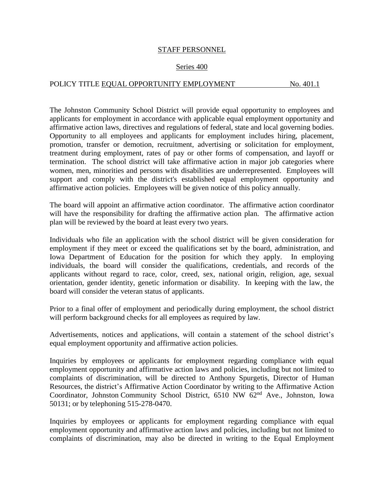## STAFF PERSONNEL

## Series 400

## POLICY TITLE EQUAL OPPORTUNITY EMPLOYMENT No. 401.1

The Johnston Community School District will provide equal opportunity to employees and applicants for employment in accordance with applicable equal employment opportunity and affirmative action laws, directives and regulations of federal, state and local governing bodies. Opportunity to all employees and applicants for employment includes hiring, placement, promotion, transfer or demotion, recruitment, advertising or solicitation for employment, treatment during employment, rates of pay or other forms of compensation, and layoff or termination. The school district will take affirmative action in major job categories where women, men, minorities and persons with disabilities are underrepresented. Employees will support and comply with the district's established equal employment opportunity and affirmative action policies. Employees will be given notice of this policy annually.

The board will appoint an affirmative action coordinator. The affirmative action coordinator will have the responsibility for drafting the affirmative action plan. The affirmative action plan will be reviewed by the board at least every two years.

Individuals who file an application with the school district will be given consideration for employment if they meet or exceed the qualifications set by the board, administration, and Iowa Department of Education for the position for which they apply. In employing individuals, the board will consider the qualifications, credentials, and records of the applicants without regard to race, color, creed, sex, national origin, religion, age, sexual orientation, gender identity, genetic information or disability. In keeping with the law, the board will consider the veteran status of applicants.

Prior to a final offer of employment and periodically during employment, the school district will perform background checks for all employees as required by law*.*

Advertisements, notices and applications, will contain a statement of the school district's equal employment opportunity and affirmative action policies.

Inquiries by employees or applicants for employment regarding compliance with equal employment opportunity and affirmative action laws and policies, including but not limited to complaints of discrimination, will be directed to Anthony Spurgetis, Director of Human Resources, the district's Affirmative Action Coordinator by writing to the Affirmative Action Coordinator, Johnston Community School District,  $6510$  NW  $62<sup>nd</sup>$  Ave., Johnston, Iowa 50131; or by telephoning 515-278-0470.

Inquiries by employees or applicants for employment regarding compliance with equal employment opportunity and affirmative action laws and policies, including but not limited to complaints of discrimination, may also be directed in writing to the Equal Employment